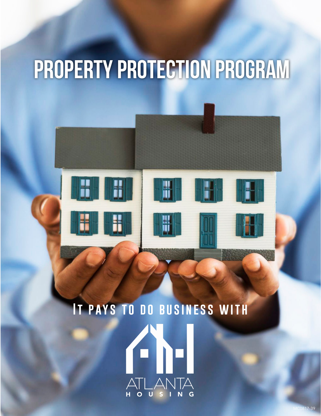## **PROPERTY PROTECTION PROGRAM**



# **It pays to do business with**

MC0817-39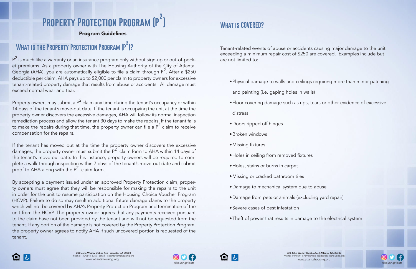#### **What is COVERED?**

#### Program Guidelines

 ${\sf P}^2$  is much like a warranty or an insurance program only without sign-up or out-of-pocket premiums. As a property owner with The Housing Authority of the City of Atlanta, Georgia (AHA), you are automatically eligible to file a claim through  $P^2$ . After a \$250 deductible per claim, AHA pays up to \$2,000 per claim to property owners for excessive tenant-related property damage that results from abuse or accidents. All damage must exceed normal wear and tear.

Property owners may submit a P $^2$  claim any time during the tenant's occupancy or within 14 days of the tenant's move-out date. If the tenant is occupying the unit at the time the property owner discovers the excessive damages, AHA will follow its normal inspection remediation process and allow the tenant 30 days to make the repairs. If the tenant fails to make the repairs during that time, the property owner can file a  $P^2$  claim to receive compensation for the repairs.

If the tenant has moved out at the time the property owner discovers the excessive damages, the property owner must submit the  $P^2$  claim form to AHA within 14 days of the tenant's move-out date. In this instance, property owners will be required to complete a walk-through inspection within 7 days of the tenant's move-out date and submit proof to AHA along with the  $P^2$  claim form.





#### **Property Protection Program (P ) 2**

#### **What is the Property Protection Program (P )? 2**

By accepting a payment issued under an approved Property Protection claim, property owners must agree that they will be responsible for making the repairs to the unit in order for the unit to resume participation on the Housing Choice Voucher Program (HCVP). Failure to do so may result in additional future damage claims to the property which will not be covered by AHA's Property Protection Program and termination of the unit from the HCVP. The property owner agrees that any payments received pursuant to the claim have not been provided by the tenant and will not be requested from the tenant. If any portion of the damage is not covered by the Property Protection Program, the property owner agrees to notify AHA if such uncovered portion is requested of the tenant.

Tenant-related events of abuse or accidents causing major damage to the unit exceeding a minimum repair cost of \$250 are covered. Examples include but are not limited to:

•Floor covering damage such as rips, tears or other evidence of excessive

- •Physical damage to walls and ceilings requiring more than minor patching and painting (i.e. gaping holes in walls)
- 
- distress
- •Doors ripped off hinges
- •Broken windows
- •Missing fixtures
- •Holes in ceiling from removed fixtures
- •Holes, stains or burns in carpet
- •Missing or cracked bathroom tiles
- •Damage to mechanical system due to abuse
- •Damage from pets or animals (excluding yard repair)
- •Severe cases of pest infestation
- •Theft of power that results in damage to the electrical system



230 John Wesley Dobbs Ave | Atlanta, GA 30303 Phone: (404)541-6759 | Email: leads@atlantahousing.org

@housingatlanta @housingatlanta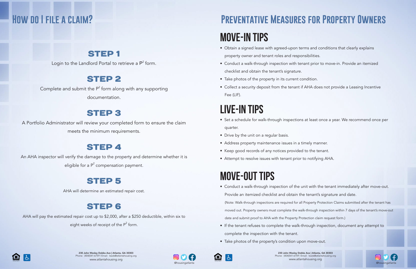## **Preventative Measures for Property Owners**

## **Move-In Tips**

## **LIVE-In Tips**

## **MOVE-OUT Tips**

- Obtain a signed lease with agreed-upon terms and conditions that clearly explains property owner and tenant roles and responsibilities.
- Conduct a walk-through inspection with tenant prior to move-in. Provide an itemized checklist and obtain the tenant's signature.
- Take photos of the property in its current condition.
- Collect a security deposit from the tenant if AHA does not provide a Leasing Incentive Fee (LIF).

- Set a schedule for walk-through inspections at least once a year. We recommend once per quarter.
- Drive by the unit on a regular basis.
- Address property maintenance issues in a timely manner.
- Keep good records of any notices provided to the tenant.
- Attempt to resolve issues with tenant prior to notifying AHA.

Complete and submit the  $P^2$  form along with any supporting documentation.

#### **STEP 3**

An AHA inspector will verify the damage to the property and determine whether it is eligible for a  $P^2$  compensation payment.

AHA will pay the estimated repair cost up to \$2,000, after a \$250 deductible, within six to eight weeks of receipt of the  $P^2$  form.

(Note: Walk-through inspections are required for all Property Protection Claims submitted after the tenant has

- Conduct a walk-through inspection of the unit with the tenant immediately after move-out. Provide an itemized checklist and obtain the tenant's signature and date. date and submit proof to AHA with the Property Protection claim request form.)
- If the tenant refuses to complete the walk-through inspection, document any attempt to complete the inspection with the tenant.
- Take photos of the property's condition upon move-out.



moved out. Property owners must complete the walk-through inspection within 7 days of the tenant's move-out

230 John Wesley Dobbs Ave | Atlanta, GA 30303 Phone: (404)541-6759 | Email: leads@atlantahousing.org www.atlantahousing.org



#### **How do I file a claim?**

#### **STEP1**

Login to the Landlord Portal to retrieve a  $P^2$  form.

#### STEP<sub>2</sub>

A Portfolio Administrator will review your completed form to ensure the claim meets the minimum requirements.

#### **STEP 4**

#### Step 5

AHA will determine an estimated repair cost.

#### **STEP 6**